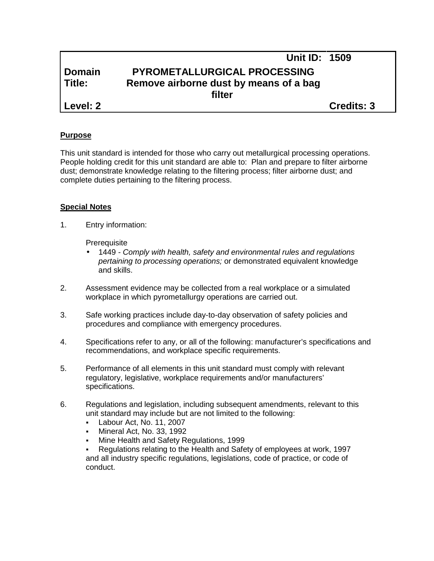# **Unit ID: 1509 Domain PYROMETALLURGICAL PROCESSING Title: Remove airborne dust by means of a bag filter Level: 2 Credits: 3**

#### **Purpose**

This unit standard is intended for those who carry out metallurgical processing operations. People holding credit for this unit standard are able to: Plan and prepare to filter airborne dust; demonstrate knowledge relating to the filtering process; filter airborne dust; and complete duties pertaining to the filtering process.

#### **Special Notes**

1. Entry information:

**Prerequisite** 

- 1449 *- Comply with health, safety and environmental rules and regulations pertaining to processing operations;* or demonstrated equivalent knowledge and skills.
- 2. Assessment evidence may be collected from a real workplace or a simulated workplace in which pyrometallurgy operations are carried out.
- 3. Safe working practices include day-to-day observation of safety policies and procedures and compliance with emergency procedures.
- 4. Specifications refer to any, or all of the following: manufacturer's specifications and recommendations, and workplace specific requirements.
- 5. Performance of all elements in this unit standard must comply with relevant regulatory, legislative, workplace requirements and/or manufacturers' specifications.
- 6. Regulations and legislation, including subsequent amendments, relevant to this unit standard may include but are not limited to the following:
	- Labour Act, No. 11, 2007
	- Mineral Act, No. 33, 1992
	- Mine Health and Safety Regulations, 1999
	- Regulations relating to the Health and Safety of employees at work, 1997 and all industry specific regulations, legislations, code of practice, or code of conduct.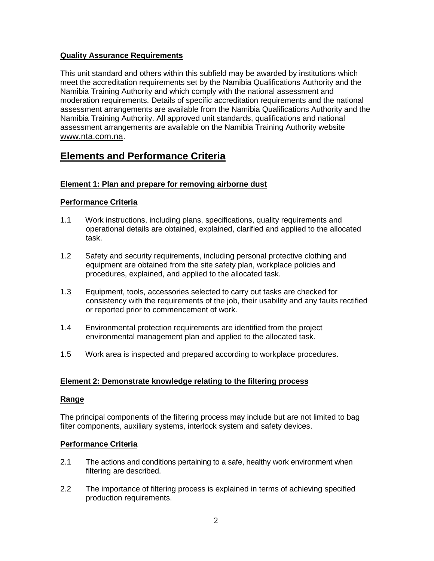# **Quality Assurance Requirements**

This unit standard and others within this subfield may be awarded by institutions which meet the accreditation requirements set by the Namibia Qualifications Authority and the Namibia Training Authority and which comply with the national assessment and moderation requirements. Details of specific accreditation requirements and the national assessment arrangements are available from the Namibia Qualifications Authority and the Namibia Training Authority. All approved unit standards, qualifications and national assessment arrangements are available on the Namibia Training Authority website www.nta.com.na.

# **Elements and Performance Criteria**

# **Element 1: Plan and prepare for removing airborne dust**

# **Performance Criteria**

- 1.1 Work instructions, including plans, specifications, quality requirements and operational details are obtained, explained, clarified and applied to the allocated task.
- 1.2 Safety and security requirements, including personal protective clothing and equipment are obtained from the site safety plan, workplace policies and procedures, explained, and applied to the allocated task.
- 1.3 Equipment, tools, accessories selected to carry out tasks are checked for consistency with the requirements of the job, their usability and any faults rectified or reported prior to commencement of work.
- 1.4 Environmental protection requirements are identified from the project environmental management plan and applied to the allocated task.
- 1.5 Work area is inspected and prepared according to workplace procedures.

## **Element 2: Demonstrate knowledge relating to the filtering process**

## **Range**

The principal components of the filtering process may include but are not limited to bag filter components, auxiliary systems, interlock system and safety devices.

## **Performance Criteria**

- 2.1 The actions and conditions pertaining to a safe, healthy work environment when filtering are described.
- 2.2 The importance of filtering process is explained in terms of achieving specified production requirements.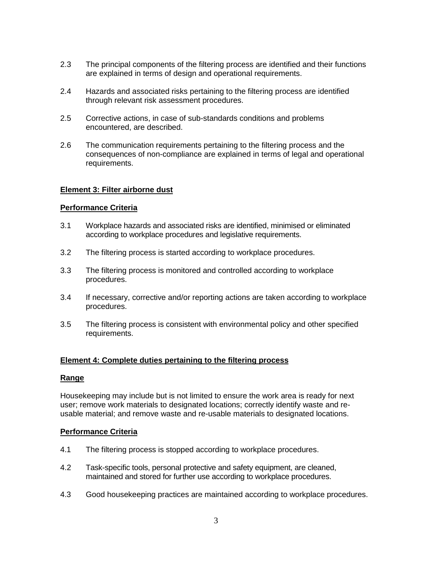- 2.3 The principal components of the filtering process are identified and their functions are explained in terms of design and operational requirements.
- 2.4 Hazards and associated risks pertaining to the filtering process are identified through relevant risk assessment procedures.
- 2.5 Corrective actions, in case of sub-standards conditions and problems encountered, are described.
- 2.6 The communication requirements pertaining to the filtering process and the consequences of non-compliance are explained in terms of legal and operational requirements.

#### **Element 3: Filter airborne dust**

#### **Performance Criteria**

- 3.1 Workplace hazards and associated risks are identified, minimised or eliminated according to workplace procedures and legislative requirements.
- 3.2 The filtering process is started according to workplace procedures.
- 3.3 The filtering process is monitored and controlled according to workplace procedures.
- 3.4 If necessary, corrective and/or reporting actions are taken according to workplace procedures.
- 3.5 The filtering process is consistent with environmental policy and other specified requirements.

#### **Element 4: Complete duties pertaining to the filtering process**

#### **Range**

Housekeeping may include but is not limited to ensure the work area is ready for next user; remove work materials to designated locations; correctly identify waste and re usable material; and remove waste and re-usable materials to designated locations.

#### **Performance Criteria**

- 4.1 The filtering process is stopped according to workplace procedures.
- 4.2 Task-specific tools, personal protective and safety equipment, are cleaned, maintained and stored for further use according to workplace procedures.
- 4.3 Good housekeeping practices are maintained according to workplace procedures.